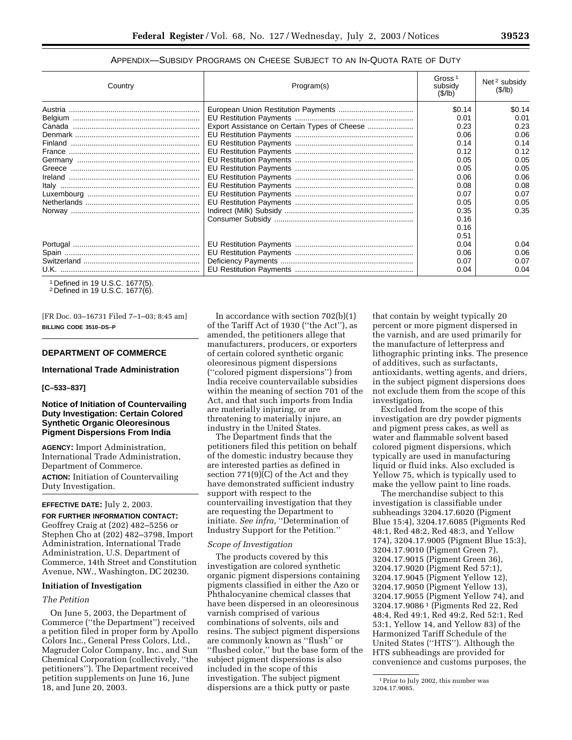# APPENDIX—SUBSIDY PROGRAMS ON CHEESE SUBJECT TO AN IN-QUOTA RATE OF DUTY

| Country | Program(s) | Gross <sup>1</sup><br>subsidy<br>(S/lb) | Net <sup>2</sup> subsidy<br>(S/lb) |
|---------|------------|-----------------------------------------|------------------------------------|
|         |            | \$0.14                                  | \$0.14                             |
|         |            | 0.01                                    | 0.01                               |
|         |            | 0.23                                    | 0.23                               |
|         |            | 0.06                                    | 0.06                               |
|         |            | 0.14                                    | 0.14                               |
|         |            | 0.12                                    | 0.12                               |
|         |            | 0.05                                    | 0.05                               |
|         |            | 0.05                                    | 0.05                               |
|         |            | 0.06                                    | 0.06                               |
|         |            | 0.08                                    | 0.08                               |
|         |            | 0.07                                    | 0.07                               |
|         |            | 0.05                                    | 0.05                               |
|         |            | 0.35                                    | 0.35                               |
|         |            | 0.16                                    |                                    |
|         |            | 0.16                                    |                                    |
|         |            | 0.51                                    |                                    |
|         |            | 0.04                                    | 0.04                               |
|         |            | 0.06                                    | 0.06                               |
|         |            | 0.07                                    | 0.07                               |
|         |            | 0.04                                    | 0.04                               |

1 Defined in 19 U.S.C. 1677(5).

2 Defined in 19 U.S.C. 1677(6).

[FR Doc. 03–16731 Filed 7–1–03; 8:45 am] **BILLING CODE 3510–DS–P**

## **DEPARTMENT OF COMMERCE**

### **International Trade Administration**

#### **[C–533–837]**

## **Notice of Initiation of Countervailing Duty Investigation: Certain Colored Synthetic Organic Oleoresinous Pigment Dispersions From India**

**AGENCY:** Import Administration, International Trade Administration, Department of Commerce.

**ACTION:** Initiation of Countervailing Duty Investigation.

#### **EFFECTIVE DATE:** July 2, 2003.

**FOR FURTHER INFORMATION CONTACT:** Geoffrey Craig at (202) 482–5256 or Stephen Cho at (202) 482–3798, Import Administration, International Trade Administration, U.S. Department of Commerce, 14th Street and Constitution Avenue, NW., Washington, DC 20230.

### **Initiation of Investigation**

# *The Petition*

On June 5, 2003, the Department of Commerce (''the Department'') received a petition filed in proper form by Apollo Colors Inc., General Press Colors, Ltd., Magruder Color Company, Inc., and Sun Chemical Corporation (collectively, ''the petitioners''). The Department received petition supplements on June 16, June 18, and June 20, 2003.

In accordance with section  $702(b)(1)$ of the Tariff Act of 1930 (''the Act''), as amended, the petitioners allege that manufacturers, producers, or exporters of certain colored synthetic organic oleoresinous pigment dispersions (''colored pigment dispersions'') from India receive countervailable subsidies within the meaning of section 701 of the Act, and that such imports from India are materially injuring, or are threatening to materially injure, an industry in the United States.

The Department finds that the petitioners filed this petition on behalf of the domestic industry because they are interested parties as defined in section  $771(9)(C)$  of the Act and they have demonstrated sufficient industry support with respect to the countervailing investigation that they are requesting the Department to initiate. *See infra,* ''Determination of Industry Support for the Petition.''

#### *Scope of Investigation*

The products covered by this investigation are colored synthetic organic pigment dispersions containing pigments classified in either the Azo or Phthalocyanine chemical classes that have been dispersed in an oleoresinous varnish comprised of various combinations of solvents, oils and resins. The subject pigment dispersions are commonly known as ''flush'' or ''flushed color,'' but the base form of the subject pigment dispersions is also included in the scope of this investigation. The subject pigment dispersions are a thick putty or paste

that contain by weight typically 20 percent or more pigment dispersed in the varnish, and are used primarily for the manufacture of letterpress and lithographic printing inks. The presence of additives, such as surfactants, antioxidants, wetting agents, and driers, in the subject pigment dispersions does not exclude them from the scope of this investigation.

Excluded from the scope of this investigation are dry powder pigments and pigment press cakes, as well as water and flammable solvent based colored pigment dispersions, which typically are used in manufacturing liquid or fluid inks. Also excluded is Yellow 75, which is typically used to make the yellow paint to line roads.

The merchandise subject to this investigation is classifiable under subheadings 3204.17.6020 (Pigment Blue 15:4), 3204.17.6085 (Pigments Red 48:1, Red 48:2, Red 48:3, and Yellow 174), 3204.17.9005 (Pigment Blue 15:3), 3204.17.9010 (Pigment Green 7), 3204.17.9015 (Pigment Green 36), 3204.17.9020 (Pigment Red 57:1), 3204.17.9045 (Pigment Yellow 12), 3204.17.9050 (Pigment Yellow 13), 3204.17.9055 (Pigment Yellow 74), and 3204.17.9086 1 (Pigments Red 22, Red 48:4, Red 49:1, Red 49:2, Red 52:1, Red 53:1, Yellow 14, and Yellow 83) of the Harmonized Tariff Schedule of the United States (''HTS''). Although the HTS subheadings are provided for convenience and customs purposes, the

<sup>1</sup>Prior to July 2002, this number was 3204.17.9085.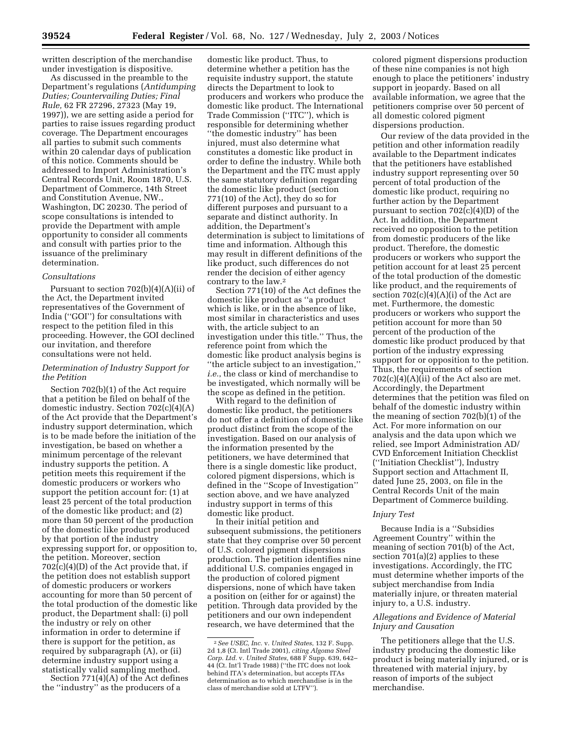written description of the merchandise under investigation is dispositive.

As discussed in the preamble to the Department's regulations (*Antidumping Duties; Countervailing Duties; Final Rule,* 62 FR 27296, 27323 (May 19, 1997)), we are setting aside a period for parties to raise issues regarding product coverage. The Department encourages all parties to submit such comments within 20 calendar days of publication of this notice. Comments should be addressed to Import Administration's Central Records Unit, Room 1870, U.S. Department of Commerce, 14th Street and Constitution Avenue, NW., Washington, DC 20230. The period of scope consultations is intended to provide the Department with ample opportunity to consider all comments and consult with parties prior to the issuance of the preliminary determination.

### *Consultations*

Pursuant to section  $702(b)(4)(A)(ii)$  of the Act, the Department invited representatives of the Government of India (''GOI'') for consultations with respect to the petition filed in this proceeding. However, the GOI declined our invitation, and therefore consultations were not held.

### *Determination of Industry Support for the Petition*

Section 702(b)(1) of the Act require that a petition be filed on behalf of the domestic industry. Section 702(c)(4)(A) of the Act provide that the Department's industry support determination, which is to be made before the initiation of the investigation, be based on whether a minimum percentage of the relevant industry supports the petition. A petition meets this requirement if the domestic producers or workers who support the petition account for: (1) at least 25 percent of the total production of the domestic like product; and (2) more than 50 percent of the production of the domestic like product produced by that portion of the industry expressing support for, or opposition to, the petition. Moreover, section  $702(c)(4)(D)$  of the Act provide that, if the petition does not establish support of domestic producers or workers accounting for more than 50 percent of the total production of the domestic like product, the Department shall: (i) poll the industry or rely on other information in order to determine if there is support for the petition, as required by subparagraph (A), or (ii) determine industry support using a statistically valid sampling method.

Section 771(4)(A) of the Act defines the ''industry'' as the producers of a

domestic like product. Thus, to determine whether a petition has the requisite industry support, the statute directs the Department to look to producers and workers who produce the domestic like product. The International Trade Commission (''ITC''), which is responsible for determining whether ''the domestic industry'' has been injured, must also determine what constitutes a domestic like product in order to define the industry. While both the Department and the ITC must apply the same statutory definition regarding the domestic like product (section 771(10) of the Act), they do so for different purposes and pursuant to a separate and distinct authority. In addition, the Department's determination is subject to limitations of time and information. Although this may result in different definitions of the like product, such differences do not render the decision of either agency contrary to the law.2

Section 771(10) of the Act defines the domestic like product as ''a product which is like, or in the absence of like, most similar in characteristics and uses with, the article subject to an investigation under this title.'' Thus, the reference point from which the domestic like product analysis begins is ''the article subject to an investigation,'' *i.e.*, the class or kind of merchandise to be investigated, which normally will be the scope as defined in the petition.

With regard to the definition of domestic like product, the petitioners do not offer a definition of domestic like product distinct from the scope of the investigation. Based on our analysis of the information presented by the petitioners, we have determined that there is a single domestic like product, colored pigment dispersions, which is defined in the ''Scope of Investigation'' section above, and we have analyzed industry support in terms of this domestic like product.

In their initial petition and subsequent submissions, the petitioners state that they comprise over 50 percent of U.S. colored pigment dispersions production. The petition identifies nine additional U.S. companies engaged in the production of colored pigment dispersions, none of which have taken a position on (either for or against) the petition. Through data provided by the petitioners and our own independent research, we have determined that the

colored pigment dispersions production of these nine companies is not high enough to place the petitioners' industry support in jeopardy. Based on all available information, we agree that the petitioners comprise over 50 percent of all domestic colored pigment dispersions production.

Our review of the data provided in the petition and other information readily available to the Department indicates that the petitioners have established industry support representing over 50 percent of total production of the domestic like product, requiring no further action by the Department pursuant to section 702(c)(4)(D) of the Act. In addition, the Department received no opposition to the petition from domestic producers of the like product. Therefore, the domestic producers or workers who support the petition account for at least 25 percent of the total production of the domestic like product, and the requirements of section  $702(c)(4)(A)(i)$  of the Act are met. Furthermore, the domestic producers or workers who support the petition account for more than 50 percent of the production of the domestic like product produced by that portion of the industry expressing support for or opposition to the petition. Thus, the requirements of section  $702(c)(4)(A)(ii)$  of the Act also are met. Accordingly, the Department determines that the petition was filed on behalf of the domestic industry within the meaning of section 702(b)(1) of the Act. For more information on our analysis and the data upon which we relied, see Import Administration AD/ CVD Enforcement Initiation Checklist (''Initiation Checklist''), Industry Support section and Attachment II, dated June 25, 2003, on file in the Central Records Unit of the main Department of Commerce building.

## *Injury Test*

Because India is a ''Subsidies Agreement Country'' within the meaning of section 701(b) of the Act, section 701(a)(2) applies to these investigations. Accordingly, the ITC must determine whether imports of the subject merchandise from India materially injure, or threaten material injury to, a U.S. industry.

## *Allegations and Evidence of Material Injury and Causation*

The petitioners allege that the U.S. industry producing the domestic like product is being materially injured, or is threatened with material injury, by reason of imports of the subject merchandise.

<sup>2</sup>*See USEC, Inc.* v. *United States*, 132 F. Supp. 2d 1,8 (Ct. Intl Trade 2001), *citing Algoma Steel Corp. Ltd.* v. *United States,* 688 F Supp. 639, 642– 44 (Ct. Int'l Trade 1988) (''the ITC does not look behind ITA's determination, but accepts ITAs determination as to which merchandise is in the class of merchandise sold at LTFV'').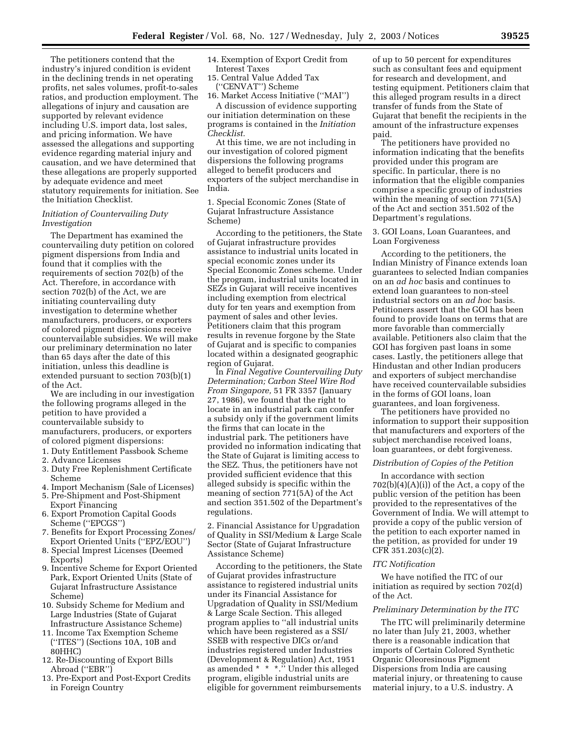The petitioners contend that the industry's injured condition is evident in the declining trends in net operating profits, net sales volumes, profit-to-sales ratios, and production employment. The allegations of injury and causation are supported by relevant evidence including U.S. import data, lost sales, and pricing information. We have assessed the allegations and supporting evidence regarding material injury and causation, and we have determined that these allegations are properly supported by adequate evidence and meet statutory requirements for initiation. See the Initiation Checklist.

## *Initiation of Countervailing Duty Investigation*

The Department has examined the countervailing duty petition on colored pigment dispersions from India and found that it complies with the requirements of section 702(b) of the Act. Therefore, in accordance with section 702(b) of the Act, we are initiating countervailing duty investigation to determine whether manufacturers, producers, or exporters of colored pigment dispersions receive countervailable subsidies. We will make our preliminary determination no later than 65 days after the date of this initiation, unless this deadline is extended pursuant to section 703(b)(1) of the Act.

We are including in our investigation the following programs alleged in the petition to have provided a countervailable subsidy to manufacturers, producers, or exporters of colored pigment dispersions:

- 1. Duty Entitlement Passbook Scheme
- 2. Advance Licenses
- 3. Duty Free Replenishment Certificate Scheme
- 4. Import Mechanism (Sale of Licenses) 5. Pre-Shipment and Post-Shipment
- Export Financing 6. Export Promotion Capital Goods
- Scheme (''EPCGS'')
- 7. Benefits for Export Processing Zones/ Export Oriented Units (''EPZ/EOU'')
- 8. Special Imprest Licenses (Deemed Exports)
- 9. Incentive Scheme for Export Oriented Park, Export Oriented Units (State of Gujarat Infrastructure Assistance Scheme)
- 10. Subsidy Scheme for Medium and Large Industries (State of Gujarat Infrastructure Assistance Scheme)
- 11. Income Tax Exemption Scheme (''ITES'') (Sections 10A, 10B and 80HHC)
- 12. Re-Discounting of Export Bills Abroad (''EBR'')
- 13. Pre-Export and Post-Export Credits in Foreign Country

14. Exemption of Export Credit from Interest Taxes

15. Central Value Added Tax (''CENVAT'') Scheme

16. Market Access Initiative (''MAI'')

A discussion of evidence supporting our initiation determination on these programs is contained in the *Initiation Checklist.*

At this time, we are not including in our investigation of colored pigment dispersions the following programs alleged to benefit producers and exporters of the subject merchandise in India.

1. Special Economic Zones (State of Gujarat Infrastructure Assistance Scheme)

According to the petitioners, the State of Gujarat infrastructure provides assistance to industrial units located in special economic zones under its Special Economic Zones scheme. Under the program, industrial units located in SEZs in Gujarat will receive incentives including exemption from electrical duty for ten years and exemption from payment of sales and other levies. Petitioners claim that this program results in revenue forgone by the State of Gujarat and is specific to companies located within a designated geographic region of Gujarat.

In *Final Negative Countervailing Duty Determination; Carbon Steel Wire Rod From Singapore,* 51 FR 3357 (January 27, 1986), we found that the right to locate in an industrial park can confer a subsidy only if the government limits the firms that can locate in the industrial park. The petitioners have provided no information indicating that the State of Gujarat is limiting access to the SEZ. Thus, the petitioners have not provided sufficient evidence that this alleged subsidy is specific within the meaning of section 771(5A) of the Act and section 351.502 of the Department's regulations.

2. Financial Assistance for Upgradation of Quality in SSI/Medium & Large Scale Sector (State of Gujarat Infrastructure Assistance Scheme)

According to the petitioners, the State of Gujarat provides infrastructure assistance to registered industrial units under its Financial Assistance for Upgradation of Quality in SSI/Medium & Large Scale Section. This alleged program applies to ''all industrial units which have been registered as a SSI/ SSEB with respective DICs or/and industries registered under Industries (Development & Regulation) Act, 1951 as amended \* \* \*.'' Under this alleged program, eligible industrial units are eligible for government reimbursements

of up to 50 percent for expenditures such as consultant fees and equipment for research and development, and testing equipment. Petitioners claim that this alleged program results in a direct transfer of funds from the State of Gujarat that benefit the recipients in the amount of the infrastructure expenses paid.

The petitioners have provided no information indicating that the benefits provided under this program are specific. In particular, there is no information that the eligible companies comprise a specific group of industries within the meaning of section 771(5A) of the Act and section 351.502 of the Department's regulations.

3. GOI Loans, Loan Guarantees, and Loan Forgiveness

According to the petitioners, the Indian Ministry of Finance extends loan guarantees to selected Indian companies on an *ad hoc* basis and continues to extend loan guarantees to non-steel industrial sectors on an *ad hoc* basis. Petitioners assert that the GOI has been found to provide loans on terms that are more favorable than commercially available. Petitioners also claim that the GOI has forgiven past loans in some cases. Lastly, the petitioners allege that Hindustan and other Indian producers and exporters of subject merchandise have received countervailable subsidies in the forms of GOI loans, loan guarantees, and loan forgiveness.

The petitioners have provided no information to support their supposition that manufacturers and exporters of the subject merchandise received loans, loan guarantees, or debt forgiveness.

### *Distribution of Copies of the Petition*

In accordance with section  $702(b)(4)(A)(i)$  of the Act, a copy of the public version of the petition has been provided to the representatives of the Government of India. We will attempt to provide a copy of the public version of the petition to each exporter named in the petition, as provided for under 19 CFR 351.203(c)(2).

#### *ITC Notification*

We have notified the ITC of our initiation as required by section 702(d) of the Act.

#### *Preliminary Determination by the ITC*

The ITC will preliminarily determine no later than July 21, 2003, whether there is a reasonable indication that imports of Certain Colored Synthetic Organic Oleoresinous Pigment Dispersions from India are causing material injury, or threatening to cause material injury, to a U.S. industry. A